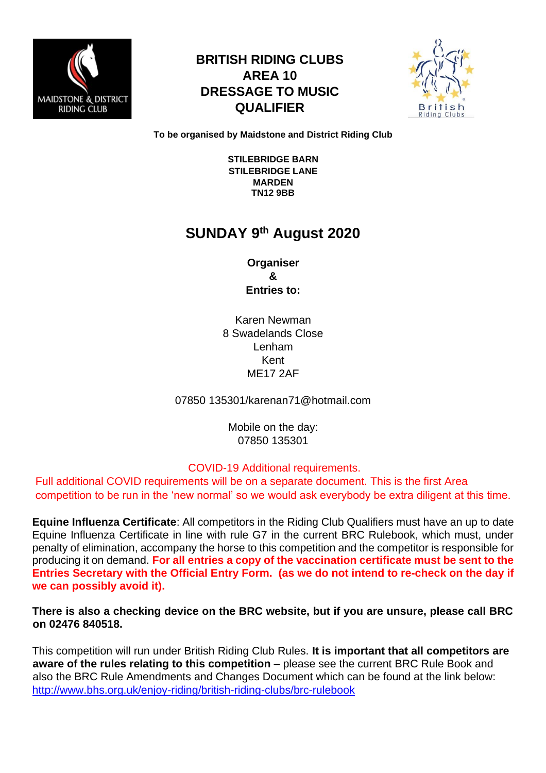

## **BRITISH RIDING CLUBS AREA 10 DRESSAGE TO MUSIC QUALIFIER**



**To be organised by Maidstone and District Riding Club** 

**STILEBRIDGE BARN STILEBRIDGE LANE MARDEN TN12 9BB** 

# **SUNDAY 9 th August 2020**

**Organiser & Entries to:** 

Karen Newman 8 Swadelands Close Lenham Kent ME17 2AF

07850 135301/karenan71@hotmail.com

Mobile on the day: 07850 135301

#### COVID-19 Additional requirements.

Full additional COVID requirements will be on a separate document. This is the first Area competition to be run in the 'new normal' so we would ask everybody be extra diligent at this time.

**Equine Influenza Certificate**: All competitors in the Riding Club Qualifiers must have an up to date Equine Influenza Certificate in line with rule G7 in the current BRC Rulebook, which must, under penalty of elimination, accompany the horse to this competition and the competitor is responsible for producing it on demand. **For all entries a copy of the vaccination certificate must be sent to the Entries Secretary with the Official Entry Form. (as we do not intend to re-check on the day if we can possibly avoid it).**

**There is also a checking device on the BRC website, but if you are unsure, please call BRC on 02476 840518.** 

This competition will run under British Riding Club Rules. **It is important that all competitors are aware of the rules relating to this competition** – please see the current BRC Rule Book and also the BRC Rule Amendments and Changes Document which can be found at the link below: http://www.bhs.org.uk/enjoy-riding/british-riding-clubs/brc-rulebook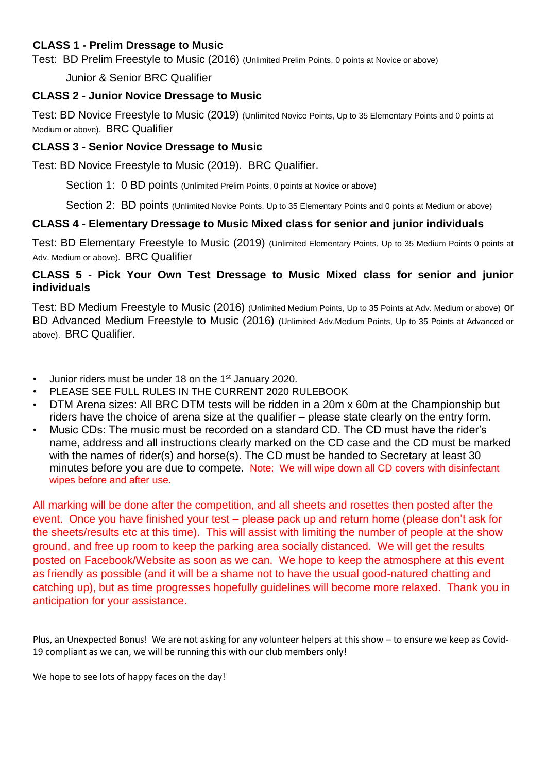#### **CLASS 1 - Prelim Dressage to Music**

Test: BD Prelim Freestyle to Music (2016) (Unlimited Prelim Points, 0 points at Novice or above)

Junior & Senior BRC Qualifier

#### **CLASS 2 - Junior Novice Dressage to Music**

Test: BD Novice Freestyle to Music (2019) (Unlimited Novice Points, Up to 35 Elementary Points and 0 points at Medium or above). BRC Qualifier

#### **CLASS 3 - Senior Novice Dressage to Music**

Test: BD Novice Freestyle to Music (2019). BRC Qualifier.

Section 1: 0 BD points (Unlimited Prelim Points, 0 points at Novice or above)

Section 2: BD points (Unlimited Novice Points, Up to 35 Elementary Points and 0 points at Medium or above)

#### **CLASS 4 - Elementary Dressage to Music Mixed class for senior and junior individuals**

Test: BD Elementary Freestyle to Music (2019) (Unlimited Elementary Points, Up to 35 Medium Points 0 points at Adv. Medium or above). BRC Qualifier

#### **CLASS 5 - Pick Your Own Test Dressage to Music Mixed class for senior and junior individuals**

Test: BD Medium Freestyle to Music (2016) (Unlimited Medium Points, Up to 35 Points at Adv. Medium or above) or BD Advanced Medium Freestyle to Music (2016) (Unlimited Adv.Medium Points, Up to 35 Points at Advanced or above). BRC Qualifier.

- Junior riders must be under 18 on the 1<sup>st</sup> January 2020.
- PLEASE SEE FULL RULES IN THE CURRENT 2020 RULEBOOK
- DTM Arena sizes: All BRC DTM tests will be ridden in a 20m x 60m at the Championship but riders have the choice of arena size at the qualifier – please state clearly on the entry form.
- Music CDs: The music must be recorded on a standard CD. The CD must have the rider's name, address and all instructions clearly marked on the CD case and the CD must be marked with the names of rider(s) and horse(s). The CD must be handed to Secretary at least 30 minutes before you are due to compete. Note: We will wipe down all CD covers with disinfectant wipes before and after use.

All marking will be done after the competition, and all sheets and rosettes then posted after the event. Once you have finished your test – please pack up and return home (please don't ask for the sheets/results etc at this time). This will assist with limiting the number of people at the show ground, and free up room to keep the parking area socially distanced. We will get the results posted on Facebook/Website as soon as we can. We hope to keep the atmosphere at this event as friendly as possible (and it will be a shame not to have the usual good-natured chatting and catching up), but as time progresses hopefully guidelines will become more relaxed. Thank you in anticipation for your assistance.

Plus, an Unexpected Bonus! We are not asking for any volunteer helpers at this show – to ensure we keep as Covid-19 compliant as we can, we will be running this with our club members only!

We hope to see lots of happy faces on the day!